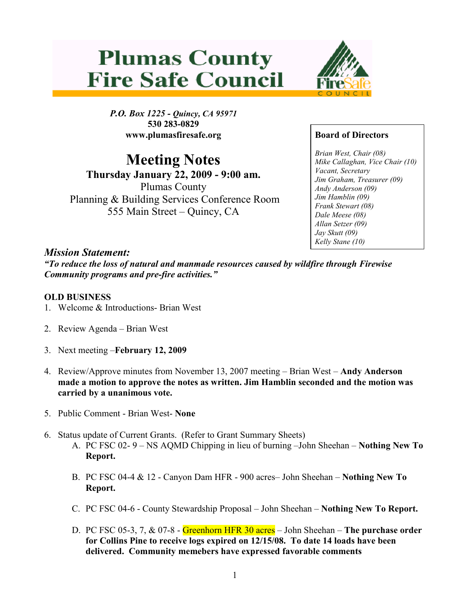# **Plumas County Fire Safe Council**



P.O. Box 1225 - Quincy, CA 95971 530 283-0829 www.plumasfiresafe.org

Meeting Notes

Thursday January 22, 2009 - 9:00 am. Plumas County Planning & Building Services Conference Room 555 Main Street – Quincy, CA

## Board of Directors

Brian West, Chair (08) Mike Callaghan, Vice Chair (10) Vacant, Secretary Jim Graham, Treasurer (09) Andy Anderson (09) Jim Hamblin (09) Frank Stewart (08) Dale Meese (08) Allan Setzer (09) Jay Skutt (09) Kelly Stane (10)

### Mission Statement:

"To reduce the loss of natural and manmade resources caused by wildfire through Firewise Community programs and pre-fire activities."

#### OLD BUSINESS

- 1. Welcome & Introductions- Brian West
- 2. Review Agenda Brian West
- 3. Next meeting –February 12, 2009
- 4. Review/Approve minutes from November 13, 2007 meeting Brian West Andy Anderson made a motion to approve the notes as written. Jim Hamblin seconded and the motion was carried by a unanimous vote.
- 5. Public Comment Brian West- None
- 6. Status update of Current Grants. (Refer to Grant Summary Sheets)
	- A. PC FSC 02- 9 NS AQMD Chipping in lieu of burning –John Sheehan Nothing New To Report.
	- B. PC FSC 04-4 & 12 Canyon Dam HFR 900 acres– John Sheehan Nothing New To Report.
	- C. PC FSC 04-6 County Stewardship Proposal John Sheehan Nothing New To Report.
	- D. PC FSC 05-3, 7,  $&07-8$  Greenhorn HFR 30 acres John Sheehan The purchase order for Collins Pine to receive logs expired on 12/15/08. To date 14 loads have been delivered. Community memebers have expressed favorable comments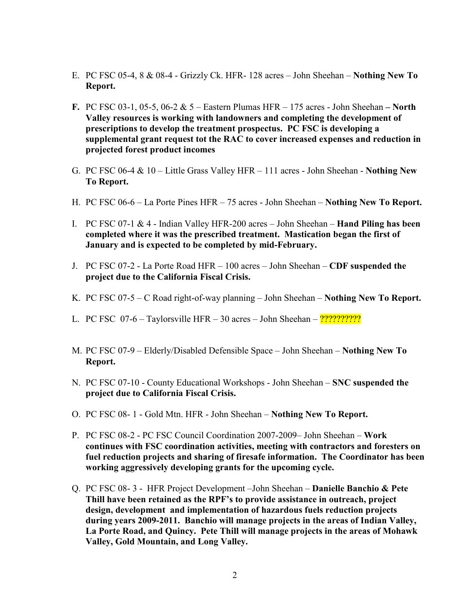- E. PC FSC 05-4, 8 & 08-4 Grizzly Ck. HFR- 128 acres John Sheehan Nothing New To Report.
- F. PC FSC 03-1, 05-5, 06-2  $& 5 -$  Eastern Plumas HFR  $-175$  acres John Sheehan  $-$  North Valley resources is working with landowners and completing the development of prescriptions to develop the treatment prospectus. PC FSC is developing a supplemental grant request tot the RAC to cover increased expenses and reduction in projected forest product incomes
- G. PC FSC 06-4 & 10 Little Grass Valley HFR 111 acres John Sheehan Nothing New To Report.
- H. PC FSC 06-6 La Porte Pines HFR 75 acres John Sheehan Nothing New To Report.
- I. PC FSC 07-1  $&$  4 Indian Valley HFR-200 acres John Sheehan **Hand Piling has been** completed where it was the prescribed treatment. Mastication began the first of January and is expected to be completed by mid-February.
- J. PC FSC 07-2 La Porte Road HFR 100 acres John Sheehan CDF suspended the project due to the California Fiscal Crisis.
- K. PC FSC 07-5 C Road right-of-way planning John Sheehan Nothing New To Report.
- L. PC FSC 07-6 Taylorsville HFR 30 acres John Sheehan ??????????
- M. PC FSC 07-9 Elderly/Disabled Defensible Space John Sheehan Nothing New To Report.
- N. PC FSC 07-10 County Educational Workshops John Sheehan SNC suspended the project due to California Fiscal Crisis.
- O. PC FSC 08- 1 Gold Mtn. HFR John Sheehan Nothing New To Report.
- P. PC FSC 08-2 PC FSC Council Coordination 2007-2009– John Sheehan Work continues with FSC coordination activities, meeting with contractors and foresters on fuel reduction projects and sharing of firesafe information. The Coordinator has been working aggressively developing grants for the upcoming cycle.
- Q. PC FSC 08- 3 HFR Project Development –John Sheehan Danielle Banchio & Pete Thill have been retained as the RPF's to provide assistance in outreach, project design, development and implementation of hazardous fuels reduction projects during years 2009-2011. Banchio will manage projects in the areas of Indian Valley, La Porte Road, and Quincy. Pete Thill will manage projects in the areas of Mohawk Valley, Gold Mountain, and Long Valley.